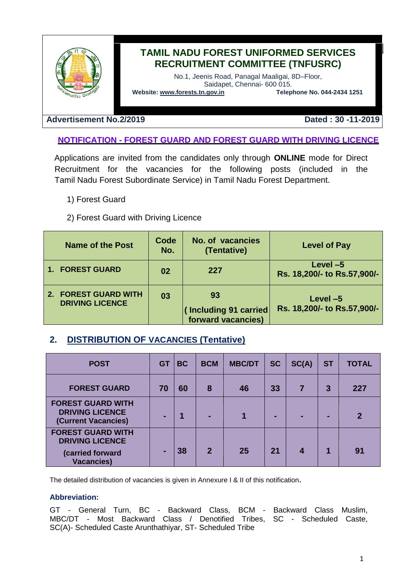

# **TAMIL NADU FOREST UNIFORMED SERVICES RECRUITMENT COMMITTEE (TNFUSRC)**

No.1, Jeenis Road, Panagal Maaligai, 8D–Floor, Saidapet, Chennai- 600 015.<br> **Telephone No. 044-2434 1251** 

**Website: [www.forests.tn.gov.in](http://www.forests.tn.gov.in/)** 

#### **Advertisement No.2/2019 Dated : 30 -11-2019**

### **NOTIFICATION - FOREST GUARD AND FOREST GUARD WITH DRIVING LICENCE**

Applications are invited from the candidates only through **ONLINE** mode for Direct Recruitment for the vacancies for the following posts (included in the Tamil Nadu Forest Subordinate Service) in Tamil Nadu Forest Department.

- 1) Forest Guard
- 2) Forest Guard with Driving Licence

| <b>Name of the Post</b>                                  | Code<br>No. | <b>No. of vacancies</b><br>(Tentative)            | <b>Level of Pay</b>                       |
|----------------------------------------------------------|-------------|---------------------------------------------------|-------------------------------------------|
| <b>FOREST GUARD</b>                                      | 02          | 227                                               | Level $-5$<br>Rs. 18,200/- to Rs.57,900/- |
| <b>FOREST GUARD WITH</b><br>2.<br><b>DRIVING LICENCE</b> | 03          | 93<br>(Including 91 carried<br>forward vacancies) | Level $-5$<br>Rs. 18,200/- to Rs.57,900/- |

# **2. DISTRIBUTION OF VACANCIES (Tentative)**

| <b>POST</b>                                                                                 | <b>GT</b> | <b>BC</b> | <b>BCM</b>     | <b>MBC/DT</b> | <b>SC</b> | SC(A) | <b>ST</b>      | <b>TOTAL</b> |
|---------------------------------------------------------------------------------------------|-----------|-----------|----------------|---------------|-----------|-------|----------------|--------------|
| <b>FOREST GUARD</b>                                                                         | 70        | 60        | 8              | 46            | 33        |       | $\overline{3}$ | 227          |
| <b>FOREST GUARD WITH</b><br><b>DRIVING LICENCE</b><br>(Current Vacancies)                   |           |           |                |               |           |       |                | $\mathbf{2}$ |
| <b>FOREST GUARD WITH</b><br><b>DRIVING LICENCE</b><br>(carried forward<br><b>Vacancies)</b> |           | 38        | $\overline{2}$ | 25            | 21        |       |                | 91           |

The detailed distribution of vacancies is given in Annexure I & II of this notification**.** 

#### **Abbreviation:**

GT - General Turn, BC - Backward Class, BCM - Backward Class Muslim, MBC/DT - Most Backward Class / Denotified Tribes, SC - Scheduled Caste, SC(A)- Scheduled Caste Arunthathiyar, ST- Scheduled Tribe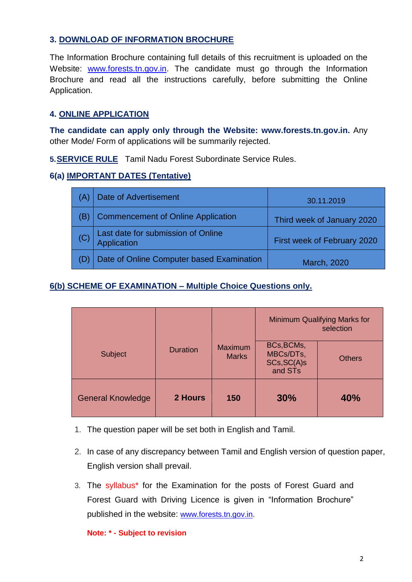## **3. DOWNLOAD OF INFORMATION BROCHURE**

The Information Brochure containing full details of this recruitment is uploaded on the Website: [www.forests.tn.gov.in.](http://www.forests.tn.gov.in/) The candidate must go through the Information Brochure and read all the instructions carefully, before submitting the Online Application.

### **4. ONLINE APPLICATION**

**The candidate can apply only through the Website: [www.forests.tn.gov.in.](http://www.forests.tn.gov.in/)** Any other Mode/ Form of applications will be summarily rejected.

**5.SERVICE RULE** Tamil Nadu Forest Subordinate Service Rules.

## **6(a) IMPORTANT DATES (Tentative)**

| (A) | Date of Advertisement                                    | 30.11.2019                  |
|-----|----------------------------------------------------------|-----------------------------|
| (B) | <b>Commencement of Online Application</b>                | Third week of January 2020  |
|     | Last date for submission of Online<br><b>Application</b> | First week of February 2020 |
|     | Date of Online Computer based Examination                | March, 2020                 |

#### **6(b) SCHEME OF EXAMINATION – Multiple Choice Questions only.**

|                          |                 |                                |                                                   | <b>Minimum Qualifying Marks for</b><br>selection |  |  |
|--------------------------|-----------------|--------------------------------|---------------------------------------------------|--------------------------------------------------|--|--|
| Subject                  | <b>Duration</b> | <b>Maximum</b><br><b>Marks</b> | BCs, BCMs,<br>MBCs/DTs,<br>SCs, SC(A)s<br>and STs | <b>Others</b>                                    |  |  |
| <b>General Knowledge</b> | 2 Hours         | 150                            | 30%                                               | 40%                                              |  |  |

- 1. The question paper will be set both in English and Tamil.
- 2. In case of any discrepancy between Tamil and English version of question paper, English version shall prevail.
- 3. The syllabus\* for the Examination for the posts of Forest Guard and Forest Guard with Driving Licence is given in "Information Brochure" published in the website: [www.forests.tn.gov.in.](http://www.forests.tn.gov.in/)

#### **Note: \* - Subject to revision**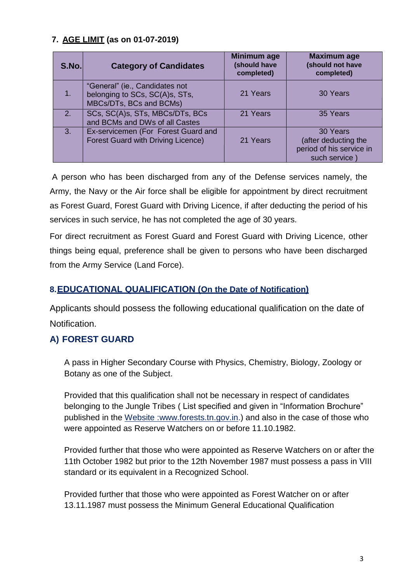# **7. AGE LIMIT (as on 01-07-2019)**

| S.No.          | <b>Category of Candidates</b>                                                               | Minimum age<br>(should have<br>completed) | <b>Maximum age</b><br>(should not have<br>completed)                         |
|----------------|---------------------------------------------------------------------------------------------|-------------------------------------------|------------------------------------------------------------------------------|
| 1.             | "General" (ie., Candidates not<br>belonging to SCs, SC(A)s, STs,<br>MBCs/DTs, BCs and BCMs) | 21 Years                                  | 30 Years                                                                     |
| 2 <sub>1</sub> | SCs, SC(A)s, STs, MBCs/DTs, BCs<br>and BCMs and DWs of all Castes                           | 21 Years                                  | 35 Years                                                                     |
| 3.             | Ex-servicemen (For Forest Guard and<br><b>Forest Guard with Driving Licence)</b>            | 21 Years                                  | 30 Years<br>(after deducting the<br>period of his service in<br>such service |

A person who has been discharged from any of the Defense services namely, the Army, the Navy or the Air force shall be eligible for appointment by direct recruitment as Forest Guard, Forest Guard with Driving Licence, if after deducting the period of his services in such service, he has not completed the age of 30 years.

For direct recruitment as Forest Guard and Forest Guard with Driving Licence, other things being equal, preference shall be given to persons who have been discharged from the Army Service (Land Force).

# **8.EDUCATIONAL QUALIFICATION (On the Date of Notification)**

Applicants should possess the following educational qualification on the date of Notification.

# **A) FOREST GUARD**

A pass in Higher Secondary Course with Physics, Chemistry, Biology, Zoology or Botany as one of the Subject.

Provided that this qualification shall not be necessary in respect of candidates belonging to the Jungle Tribes ( List specified and given in "Information Brochure" published in the Website :www.forests.tn.gov.in.) and also in the case of those who were appointed as Reserve Watchers on or before 11.10.1982.

Provided further that those who were appointed as Reserve Watchers on or after the 11th October 1982 but prior to the 12th November 1987 must possess a pass in VIII standard or its equivalent in a Recognized School.

Provided further that those who were appointed as Forest Watcher on or after 13.11.1987 must possess the Minimum General Educational Qualification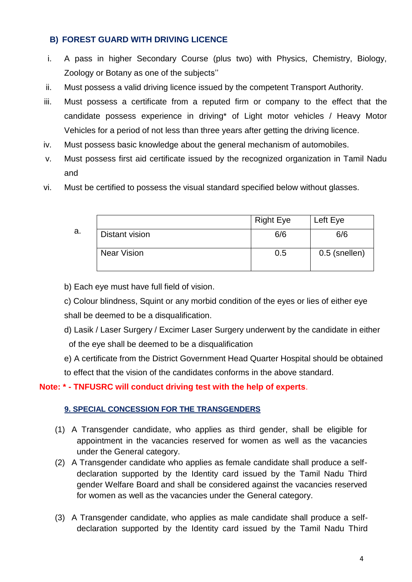## **B) FOREST GUARD WITH DRIVING LICENCE**

- i. A pass in higher Secondary Course (plus two) with Physics, Chemistry, Biology, Zoology or Botany as one of the subjects""
- ii. Must possess a valid driving licence issued by the competent Transport Authority.
- iii. Must possess a certificate from a reputed firm or company to the effect that the candidate possess experience in driving\* of Light motor vehicles / Heavy Motor Vehicles for a period of not less than three years after getting the driving licence.
- iv. Must possess basic knowledge about the general mechanism of automobiles.
- v. Must possess first aid certificate issued by the recognized organization in Tamil Nadu and
- vi. Must be certified to possess the visual standard specified below without glasses.

|    |                    | <b>Right Eye</b> | Left Eye      |
|----|--------------------|------------------|---------------|
| a. | Distant vision     | 6/6              | 6/6           |
|    | <b>Near Vision</b> | 0.5              | 0.5 (snellen) |

b) Each eye must have full field of vision.

c) Colour blindness, Squint or any morbid condition of the eyes or lies of either eye shall be deemed to be a disqualification.

- d) Lasik / Laser Surgery / Excimer Laser Surgery underwent by the candidate in either of the eye shall be deemed to be a disqualification
- e) A certificate from the District Government Head Quarter Hospital should be obtained to effect that the vision of the candidates conforms in the above standard.

# **Note: \* - TNFUSRC will conduct driving test with the help of experts**.

### **9. SPECIAL CONCESSION FOR THE TRANSGENDERS**

- (1) A Transgender candidate, who applies as third gender, shall be eligible for appointment in the vacancies reserved for women as well as the vacancies under the General category.
- (2) A Transgender candidate who applies as female candidate shall produce a selfdeclaration supported by the Identity card issued by the Tamil Nadu Third gender Welfare Board and shall be considered against the vacancies reserved for women as well as the vacancies under the General category.
- (3) A Transgender candidate, who applies as male candidate shall produce a selfdeclaration supported by the Identity card issued by the Tamil Nadu Third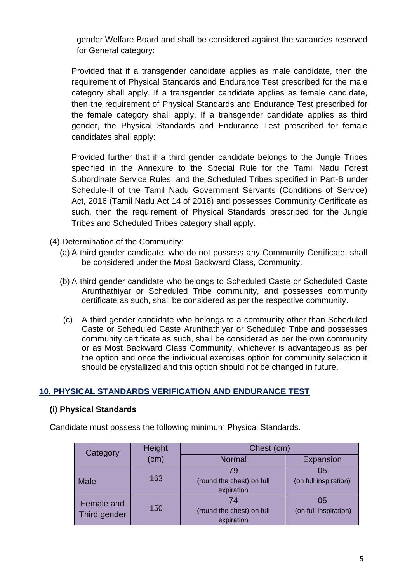gender Welfare Board and shall be considered against the vacancies reserved for General category:

Provided that if a transgender candidate applies as male candidate, then the requirement of Physical Standards and Endurance Test prescribed for the male category shall apply. If a transgender candidate applies as female candidate, then the requirement of Physical Standards and Endurance Test prescribed for the female category shall apply. If a transgender candidate applies as third gender, the Physical Standards and Endurance Test prescribed for female candidates shall apply:

Provided further that if a third gender candidate belongs to the Jungle Tribes specified in the Annexure to the Special Rule for the Tamil Nadu Forest Subordinate Service Rules, and the Scheduled Tribes specified in Part-B under Schedule-II of the Tamil Nadu Government Servants (Conditions of Service) Act, 2016 (Tamil Nadu Act 14 of 2016) and possesses Community Certificate as such, then the requirement of Physical Standards prescribed for the Jungle Tribes and Scheduled Tribes category shall apply.

- (4) Determination of the Community:
	- (a) A third gender candidate, who do not possess any Community Certificate, shall be considered under the Most Backward Class, Community.
	- (b) A third gender candidate who belongs to Scheduled Caste or Scheduled Caste Arunthathiyar or Scheduled Tribe community, and possesses community certificate as such, shall be considered as per the respective community.
	- (c) A third gender candidate who belongs to a community other than Scheduled Caste or Scheduled Caste Arunthathiyar or Scheduled Tribe and possesses community certificate as such, shall be considered as per the own community or as Most Backward Class Community, whichever is advantageous as per the option and once the individual exercises option for community selection it should be crystallized and this option should not be changed in future.

#### **10. PHYSICAL STANDARDS VERIFICATION AND ENDURANCE TEST**

#### **(i) Physical Standards**

Candidate must possess the following minimum Physical Standards.

| Category     | Height |                                         | Chest (cm)            |  |  |  |  |
|--------------|--------|-----------------------------------------|-----------------------|--|--|--|--|
|              | (cm)   | <b>Normal</b>                           | Expansion             |  |  |  |  |
|              |        | 79                                      | 05                    |  |  |  |  |
| <b>Male</b>  | 163    | (round the chest) on full<br>expiration | (on full inspiration) |  |  |  |  |
| Female and   |        | 74                                      | 05                    |  |  |  |  |
| Third gender | 150    | (round the chest) on full<br>expiration | (on full inspiration) |  |  |  |  |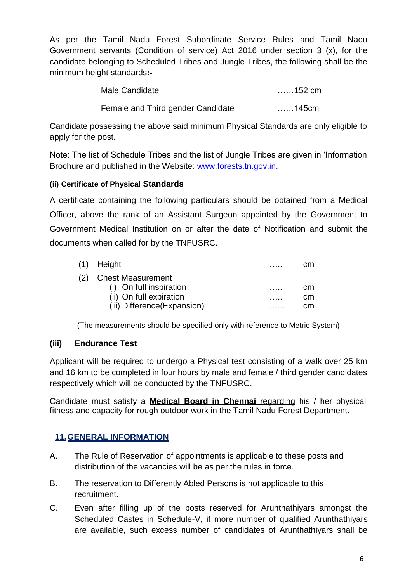As per the Tamil Nadu Forest Subordinate Service Rules and Tamil Nadu Government servants (Condition of service) Act 2016 under section 3 (x), for the candidate belonging to Scheduled Tribes and Jungle Tribes, the following shall be the minimum height standards**:-**

| Male Candidate                    | $\dots$ .152 cm |
|-----------------------------------|-----------------|
| Female and Third gender Candidate | 145cm           |

Candidate possessing the above said minimum Physical Standards are only eligible to apply for the post.

Note: The list of Schedule Tribes and the list of Jungle Tribes are given in "Information Brochure and published in the Website: [www.forests.tn.gov.in.](http://www.forests.tn.gov.in/)

## **(ii) Certificate of Physical Standards**

A certificate containing the following particulars should be obtained from a Medical Officer, above the rank of an Assistant Surgeon appointed by the Government to Government Medical Institution on or after the date of Notification and submit the documents when called for by the TNFUSRC.

|     | (1) Height                   | . | cm |
|-----|------------------------------|---|----|
| (2) | <b>Chest Measurement</b>     |   |    |
|     | (i) On full inspiration      |   | cm |
|     | (ii) On full expiration      | . | cm |
|     | (iii) Difference (Expansion) |   | cm |

(The measurements should be specified only with reference to Metric System)

### **(iii) Endurance Test**

Applicant will be required to undergo a Physical test consisting of a walk over 25 km and 16 km to be completed in four hours by male and female / third gender candidates respectively which will be conducted by the TNFUSRC.

Candidate must satisfy a **Medical Board in Chennai** regarding his / her physical fitness and capacity for rough outdoor work in the Tamil Nadu Forest Department.

# **11.GENERAL INFORMATION**

- A. The Rule of Reservation of appointments is applicable to these posts and distribution of the vacancies will be as per the rules in force.
- B. The reservation to Differently Abled Persons is not applicable to this recruitment.
- C. Even after filling up of the posts reserved for Arunthathiyars amongst the Scheduled Castes in Schedule-V, if more number of qualified Arunthathiyars are available, such excess number of candidates of Arunthathiyars shall be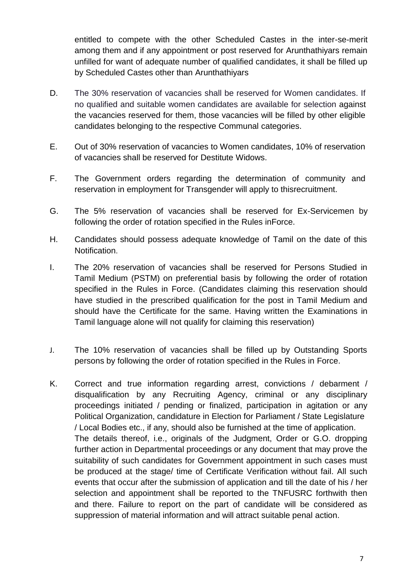entitled to compete with the other Scheduled Castes in the inter-se-merit among them and if any appointment or post reserved for Arunthathiyars remain unfilled for want of adequate number of qualified candidates, it shall be filled up by Scheduled Castes other than Arunthathiyars

- D. The 30% reservation of vacancies shall be reserved for Women candidates. If no qualified and suitable women candidates are available for selection against the vacancies reserved for them, those vacancies will be filled by other eligible candidates belonging to the respective Communal categories.
- E. Out of 30% reservation of vacancies to Women candidates, 10% of reservation of vacancies shall be reserved for Destitute Widows.
- F. The Government orders regarding the determination of community and reservation in employment for Transgender will apply to thisrecruitment.
- G. The 5% reservation of vacancies shall be reserved for Ex-Servicemen by following the order of rotation specified in the Rules inForce.
- H. Candidates should possess adequate knowledge of Tamil on the date of this Notification.
- I. The 20% reservation of vacancies shall be reserved for Persons Studied in Tamil Medium (PSTM) on preferential basis by following the order of rotation specified in the Rules in Force. (Candidates claiming this reservation should have studied in the prescribed qualification for the post in Tamil Medium and should have the Certificate for the same. Having written the Examinations in Tamil language alone will not qualify for claiming this reservation)
- J. The 10% reservation of vacancies shall be filled up by Outstanding Sports persons by following the order of rotation specified in the Rules in Force.
- K. Correct and true information regarding arrest, convictions / debarment / disqualification by any Recruiting Agency, criminal or any disciplinary proceedings initiated / pending or finalized, participation in agitation or any Political Organization, candidature in Election for Parliament / State Legislature / Local Bodies etc., if any, should also be furnished at the time of application. The details thereof, i.e., originals of the Judgment, Order or G.O. dropping further action in Departmental proceedings or any document that may prove the suitability of such candidates for Government appointment in such cases must be produced at the stage/ time of Certificate Verification without fail. All such events that occur after the submission of application and till the date of his / her selection and appointment shall be reported to the TNFUSRC forthwith then and there. Failure to report on the part of candidate will be considered as suppression of material information and will attract suitable penal action.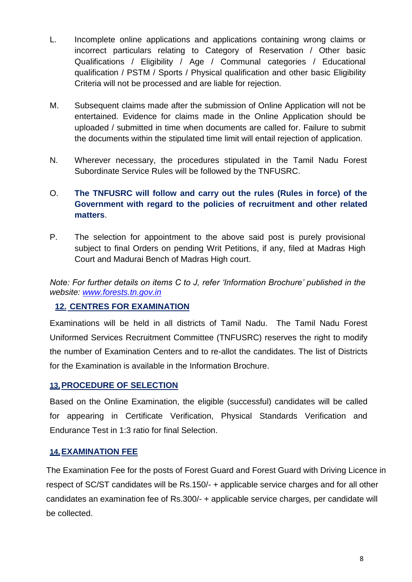- L. Incomplete online applications and applications containing wrong claims or incorrect particulars relating to Category of Reservation / Other basic Qualifications / Eligibility / Age / Communal categories / Educational qualification / PSTM / Sports / Physical qualification and other basic Eligibility Criteria will not be processed and are liable for rejection.
- M. Subsequent claims made after the submission of Online Application will not be entertained. Evidence for claims made in the Online Application should be uploaded / submitted in time when documents are called for. Failure to submit the documents within the stipulated time limit will entail rejection of application.
- N. Wherever necessary, the procedures stipulated in the Tamil Nadu Forest Subordinate Service Rules will be followed by the TNFUSRC.
- O. **The TNFUSRC will follow and carry out the rules (Rules in force) of the Government with regard to the policies of recruitment and other related matters**.
- P. The selection for appointment to the above said post is purely provisional subject to final Orders on pending Writ Petitions, if any, filed at Madras High Court and Madurai Bench of Madras High court.

*Note: For further details on items C to J, refer 'Information Brochure' published in the website: [www.forests.tn.gov.in](http://www.forests.tn.gov.in/)*

## **12. CENTRES FOR EXAMINATION**

Examinations will be held in all districts of Tamil Nadu. The Tamil Nadu Forest Uniformed Services Recruitment Committee (TNFUSRC) reserves the right to modify the number of Examination Centers and to re-allot the candidates. The list of Districts for the Examination is available in the Information Brochure.

#### **13.PROCEDURE OF SELECTION**

Based on the Online Examination, the eligible (successful) candidates will be called for appearing in Certificate Verification, Physical Standards Verification and Endurance Test in 1:3 ratio for final Selection.

### **14.EXAMINATION FEE**

The Examination Fee for the posts of Forest Guard and Forest Guard with Driving Licence in respect of SC/ST candidates will be Rs.150/- + applicable service charges and for all other candidates an examination fee of Rs.300/- + applicable service charges, per candidate will be collected.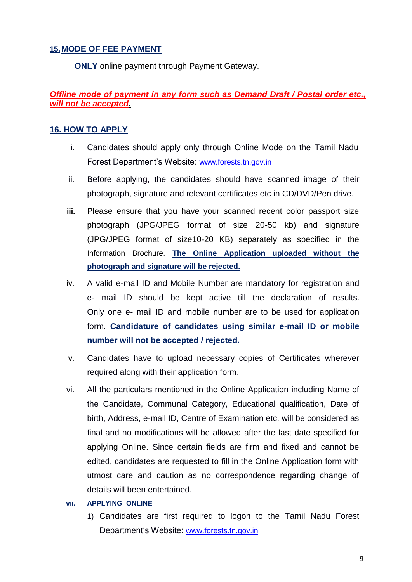### **15.MODE OF FEE PAYMENT**

**ONLY** online payment through Payment Gateway.

# *Offline mode of payment in any form such as Demand Draft / Postal order etc., will not be accepted.*

### **16. HOW TO APPLY**

- i. Candidates should apply only through Online Mode on the Tamil Nadu Forest Department's Website: [www.forests.tn.gov.in](http://www.forests.tn.nic.in/)
- ii. Before applying, the candidates should have scanned image of their photograph, signature and relevant certificates etc in CD/DVD/Pen drive.
- **iii.** Please ensure that you have your scanned recent color passport size photograph (JPG/JPEG format of size 20-50 kb) and signature (JPG/JPEG format of size10-20 KB) separately as specified in the Information Brochure. **The Online Application uploaded without the photograph and signature will be rejected.**
- iv. A valid e-mail ID and Mobile Number are mandatory for registration and e- mail ID should be kept active till the declaration of results. Only one e- mail ID and mobile number are to be used for application form. **Candidature of candidates using similar e-mail ID or mobile number will not be accepted / rejected.**
- v. Candidates have to upload necessary copies of Certificates wherever required along with their application form.
- vi. All the particulars mentioned in the Online Application including Name of the Candidate, Communal Category, Educational qualification, Date of birth, Address, e-mail ID, Centre of Examination etc. will be considered as final and no modifications will be allowed after the last date specified for applying Online. Since certain fields are firm and fixed and cannot be edited, candidates are requested to fill in the Online Application form with utmost care and caution as no correspondence regarding change of details will been entertained.

#### **vii. APPLYING ONLINE**

1) Candidates are first required to logon to the Tamil Nadu Forest Department's Website: [www.forests.tn.gov.in](http://www.forests.tn.gov.in/)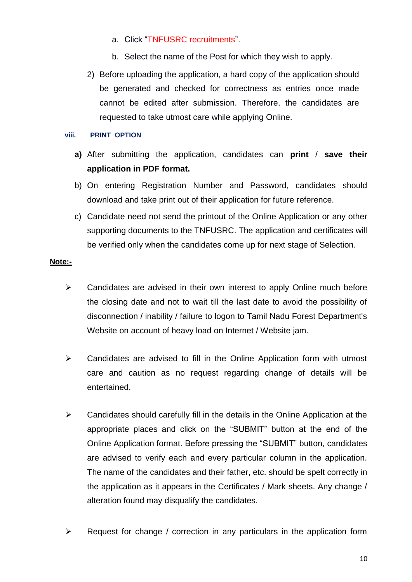- a. Click "TNFUSRC recruitments".
- b. Select the name of the Post for which they wish to apply.
- 2) Before uploading the application, a hard copy of the application should be generated and checked for correctness as entries once made cannot be edited after submission. Therefore, the candidates are requested to take utmost care while applying Online.

#### **viii. PRINT OPTION**

- **a)** After submitting the application, candidates can **print** / **save their application in PDF format.**
- b) On entering Registration Number and Password, candidates should download and take print out of their application for future reference.
- c) Candidate need not send the printout of the Online Application or any other supporting documents to the TNFUSRC. The application and certificates will be verified only when the candidates come up for next stage of Selection.

#### **Note:-**

- $\triangleright$  Candidates are advised in their own interest to apply Online much before the closing date and not to wait till the last date to avoid the possibility of disconnection / inability / failure to logon to Tamil Nadu Forest Department's Website on account of heavy load on Internet / Website jam.
- $\triangleright$  Candidates are advised to fill in the Online Application form with utmost care and caution as no request regarding change of details will be entertained.
- $\triangleright$  Candidates should carefully fill in the details in the Online Application at the appropriate places and click on the "SUBMIT" button at the end of the Online Application format. Before pressing the "SUBMIT" button, candidates are advised to verify each and every particular column in the application. The name of the candidates and their father, etc. should be spelt correctly in the application as it appears in the Certificates / Mark sheets. Any change / alteration found may disqualify the candidates.
- $\triangleright$  Request for change / correction in any particulars in the application form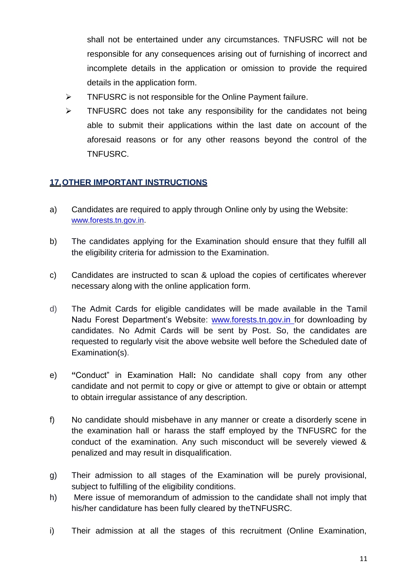shall not be entertained under any circumstances. TNFUSRC will not be responsible for any consequences arising out of furnishing of incorrect and incomplete details in the application or omission to provide the required details in the application form.

- > TNFUSRC is not responsible for the Online Payment failure.
- $\triangleright$  TNFUSRC does not take any responsibility for the candidates not being able to submit their applications within the last date on account of the aforesaid reasons or for any other reasons beyond the control of the TNFUSRC.

### **17.OTHER IMPORTANT INSTRUCTIONS**

- a) Candidates are required to apply through Online only by using the Website: [www.forests.tn.gov.in.](http://www.forests.tn.gov.in/)
- b) The candidates applying for the Examination should ensure that they fulfill all the eligibility criteria for admission to the Examination.
- c) Candidates are instructed to scan & upload the copies of certificates wherever necessary along with the online application form.
- d) The Admit Cards for eligible candidates will be made available **i**n the Tamil Nadu Forest Department's Website: [www.forests.tn.gov.in](http://www.forests.tn.gov.in/) for downloading by candidates. No Admit Cards will be sent by Post. So, the candidates are requested to regularly visit the above website well before the Scheduled date of Examination(s).
- e) **"**Conduct" in Examination Hall**:** No candidate shall copy from any other candidate and not permit to copy or give or attempt to give or obtain or attempt to obtain irregular assistance of any description.
- f) No candidate should misbehave in any manner or create a disorderly scene in the examination hall or harass the staff employed by the TNFUSRC for the conduct of the examination. Any such misconduct will be severely viewed & penalized and may result in disqualification.
- g) Their admission to all stages of the Examination will be purely provisional, subject to fulfilling of the eligibility conditions.
- h) Mere issue of memorandum of admission to the candidate shall not imply that his/her candidature has been fully cleared by theTNFUSRC.
- i) Their admission at all the stages of this recruitment (Online Examination,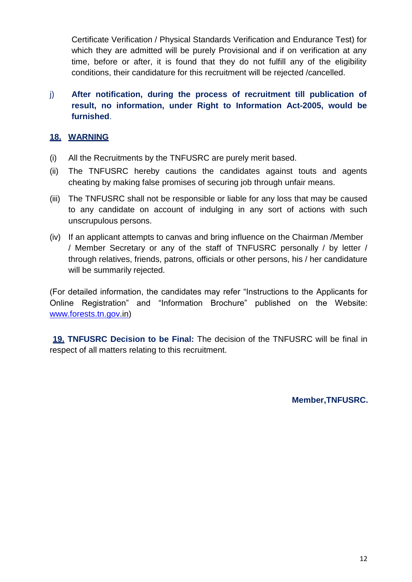Certificate Verification / Physical Standards Verification and Endurance Test) for which they are admitted will be purely Provisional and if on verification at any time, before or after, it is found that they do not fulfill any of the eligibility conditions, their candidature for this recruitment will be rejected /cancelled.

## j) **After notification, during the process of recruitment till publication of result, no information, under Right to Information Act-2005, would be furnished**.

### **18. WARNING**

- (i) All the Recruitments by the TNFUSRC are purely merit based.
- (ii) The TNFUSRC hereby cautions the candidates against touts and agents cheating by making false promises of securing job through unfair means.
- (iii) The TNFUSRC shall not be responsible or liable for any loss that may be caused to any candidate on account of indulging in any sort of actions with such unscrupulous persons.
- (iv) If an applicant attempts to canvas and bring influence on the Chairman /Member / Member Secretary or any of the staff of TNFUSRC personally / by letter / through relatives, friends, patrons, officials or other persons, his / her candidature will be summarily rejected.

(For detailed information, the candidates may refer "Instructions to the Applicants for Online Registration" and "Information Brochure" published on the Website: [www.forests.tn.gov.](http://www.forests.tn.gov/)in)

**19. TNFUSRC Decision to be Final:** The decision of the TNFUSRC will be final in respect of all matters relating to this recruitment.

**Member,TNFUSRC.**